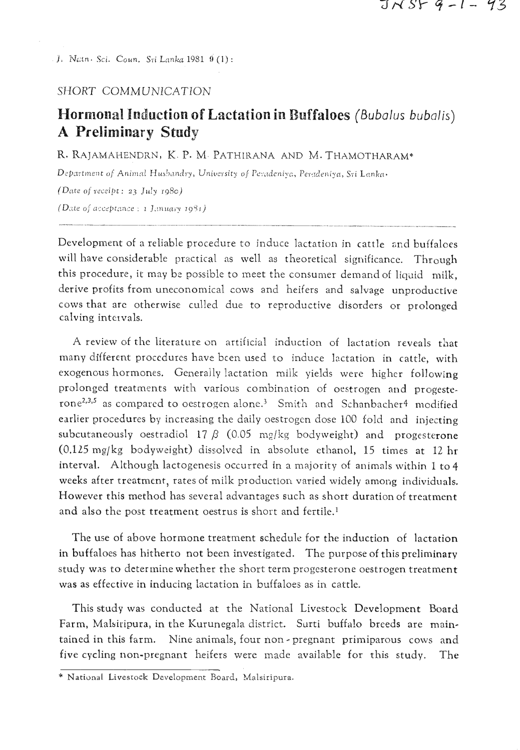**f.** Nctn. *Sci.* Coun. **S1.i** Lankit 1931 **9 (1)** :

## SHORT COMMUNICATION

## **Hormonal Induction of Lactation in Buffaloes** (Bubalus bubalis) **A Preliminary Study**

R. RAJAMAHENDRN, K. P. M. PATHIRANA AND M. THAMOTHARAM\*

Department of Animal Husbandry, University of Peradeniya, Peradeniya, Sri Lanka-

(Date oj receipt : *a3* July **rg8c)**  (Date of acceptance : *1 J.muary 1981)* 

Development of a reliable procedure to induce lactation in cattle and buffaloes will have considerable practical as well as theoretical significance. Through this procedure, it may be possible to meet the consumer demand of liquid milk, derive profits from uneconomica! cows and heifers and salvage unproductive cows that arc otherwise culled due to reproductive disorders or prolonged calving intervals.

A review of the literature on artificial induction of lactation reveals that many different procedures have bcen used to induce lactation in cattle, with exogenous hormones. Generally lactation milk yields were higher following prolonged treatments with various combination of ocstrogen and progesterone<sup>2,3,5</sup> as compared to oestrogen alone.<sup>3</sup> Smith and Schanbacher<sup>4</sup> modified earlier procedures by increasing the daily oestrogcn dose 100 fold and injecting subcutaneously oestradiol 17  $\beta$  (0.05 mg/kg bodyweight) and progesterone (0.125 mg/kg bodyweight) dissolved in absolute ethanol, 15 times at 12 hr interval. Although lactogenesis occurred in a majority of animals within 1 to 4 weeks after treatment, rates of milk production varied widely among individuals. However this method has several advantages such as short duration of treatment and also the post treatment oestrus is short and fertile.'

The use of above hormone treatment schedule for the induction of lactation in buffaloes has hitherto not been investigated. The purpose of this preliminary study was to determine whether the short term progesterone oestrogen treatment was as effective in inducing lactation in buffaloes as in cattle.

This study was conducted at the National Livestock Development Board Farm, Malsiripura, in the Kurunegala district. Surti buffalo breeds are maintained in this farm. Nine animals, four non - pregnant primiparous cows and five cycling non-pregnant heifers were made available for this study. The **National Livestock Development Board**, Malsiripura.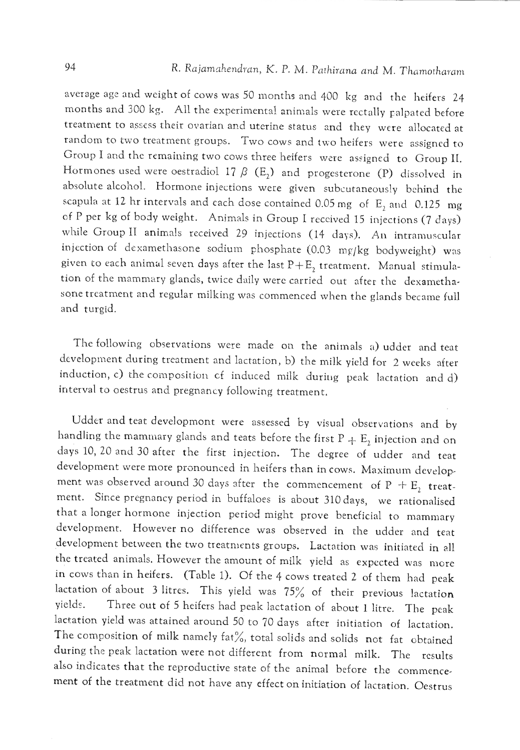average age and weight of cows was 50 months and 400 kg and the heifers 24 months and 300 kg. All the experimental animals were rectally palpated before treatment to assess their ovarian and uterine status and they were allocated at random to two treatment groups. Two cows and two heifers were assigned to Group I and the remaining two cows three heifers were assigned to Group II. Hormones used were oestradiol 17  $\beta$  (E<sub>2</sub>) and progesterone (P) dissolved in absolute alcohol. Hormone injections were given subcutaneously bchind the scapula at 12 hr intervals and each dose contained 0.05 mg of  $E_2$  and 0.125 mg cf P per kg of body weight. Animals in Group I reccived 15 injections (7 days) while Group II animals received 29 injections (14 days). An intramuscular injection of dexamethasone sodium phosphate  $(0.03 \text{ mg/kg}$  bodyweight) was given to each animal seven days after the last  $P+E_2$  treatment. Manual stimulation of the mammary glands, twice daily were carried out after the dexamethasone treatment and regular milking was commenced when the glands became full and turgid.

The following observations were made on the animals a) udder and teat development during treatment and lactation, b) the milk yield for 2 weeks after induction, c) the composition of induced milk during peak lactation and d) interval to oestrus and pregnancy following treatment.

Udder and teat developmont were assessed by visual observations and by handling the mammary glands and teats before the first  $P + E_2$  injection and on days 10, 20 and 30 after the first injection. The degree of udder and teat development were more pronounced in heifers than in cows. Maximum development was observed around 30 days after the commencement of  $P + E_2$  treatment. Since pregnancy period in buffaloes is about 310 days, we rationalised that a longer hormone injection period might prove beneficial to mammary development. However no difference was observed in the udder and teat development between the two treatnients groups. Lactation was initiated in ell the treated animals. However the amount of milk yield as expccted was morc in ccws than in heifers. (Table 1). Of the 4 cows treated 2 of them had peak lactation of about 3 litres. This yield was  $75\%$  of their previous lactation yields. Three out of 5 heifers had peak lactation of about **1** litre. The pcak lactation yield was attained around 50 to 70 days after initiation of lactation. The composition of milk namely fat%, total solids and solids not fat obtained during the peak lactation were not different from normal milk. The rcsults also indicates that the reproductive state of the animal before the commencement of the treatment did not have any effect on initiation of lactation. Oestrus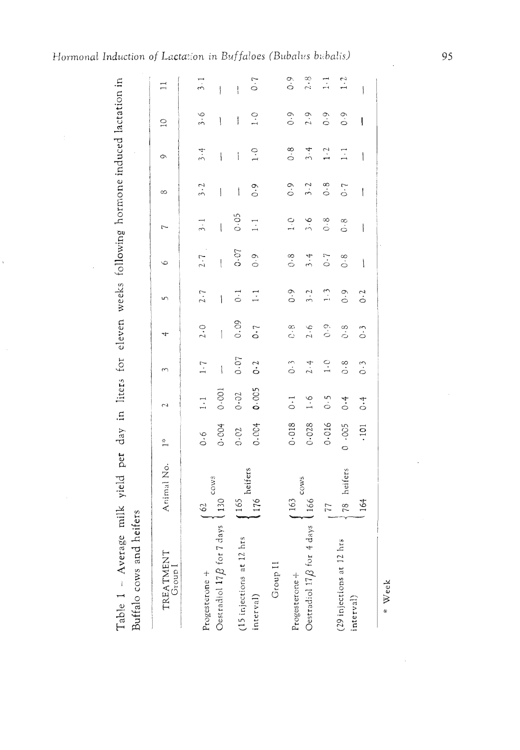| Table 1 - Average milk yield per day in liters for eleven weeks following hormone induced lactation in<br>Buffalo cows and heifers |                    |                    |                 |                           |                |                           |                    |                          |                   |                                 |                  |            |
|------------------------------------------------------------------------------------------------------------------------------------|--------------------|--------------------|-----------------|---------------------------|----------------|---------------------------|--------------------|--------------------------|-------------------|---------------------------------|------------------|------------|
| TREATMENT<br>$G$ roup $I$                                                                                                          | Animal No.         | ÷<br>T             |                 | $\tilde{\mathcal{E}}$     | ÷              | $\mathbf{r}$              | $\circ$            | $\overline{ }$           | ∞                 | $\circ$                         | $\overline{C}$   | $\Xi$      |
| Progesterone +                                                                                                                     | $\mathcal{O}$      | 0.6                | $\frac{1}{2}$ . | 1.7                       | 2.0            | 2.7                       | $2.7$ .            | $\frac{3}{2}$ . 1        | 3.2               | 3.4                             | 3.6              | $3-1$      |
| Oestradiol $17B$ for $7 \text{ days}$ (130                                                                                         | cows               | 0.004              | 0.001           | $\overline{\mathfrak{z}}$ | İ              | Î                         | ł                  | $\overline{\mathcal{E}}$ | $\biggl\{$        | ١                               | ∖                |            |
| (15 injections at 12 hrs                                                                                                           | 165                | 0.02               | 0.02            | 0.07                      | 0.09           | $\frac{1}{2}$             | 0.07               | 0.05                     | ١                 | İ                               | ţ                | ļ          |
| interval)                                                                                                                          | heifers<br>1176    | 0.004              | 0.005           | $0 - 2$                   | 0.7            | $\vec{=}$                 | $\frac{6}{10}$     | $\overline{a}$           | $\ddot{\circ}$    | $\frac{1}{2}$                   | $\frac{1}{4}$    | 0.7        |
| Group II                                                                                                                           |                    |                    |                 |                           |                |                           |                    |                          |                   |                                 |                  |            |
| Progesterone +                                                                                                                     | (163)              | 0.018              | $\ddot{\circ}$  | $\ddot{o}$ .              | e.e            | 0.9                       | $\ddot{\circ}$     | $\frac{1}{2}$            | $\ddot{\circ}$ .0 | $\ddot{\circ}$                  | $\ddot{\circ}$ . | 0.9        |
| Oestradiol $17B$ for 4 days                                                                                                        | <b>COWS</b><br>166 | 0.028              | $\frac{6}{1}$   | 2.4                       | 2.6            | $\ddot{3} \cdot \ddot{2}$ | $\ddot{3} \cdot 4$ | $\frac{6}{2}$            | 3.2               | 3.4                             | 2.9              | 2.8        |
|                                                                                                                                    | 77                 | 0.016              | $\frac{5}{2}$   | $\frac{1}{1}$             | $\frac{6}{3}$  | $\frac{1}{2}$             | $\ddot{\circ}$     | $\frac{8}{5}$            | 0.8               | $\overline{1}\cdot\overline{2}$ | $\frac{1}{2}$    | $\vec{z}$  |
| (29 injections at 12 hrs                                                                                                           | 78 heifers         | 0.005              | 0.4             | $\frac{8}{10}$            | $\frac{8}{10}$ | $\frac{6}{10}$            | $\ddot{\circ}$     | $\frac{8}{3}$            | $\overline{0}$ .  | $\vec{z}$                       | $\frac{6}{10}$   | $\ddot{1}$ |
| interval)                                                                                                                          | .164               | $\overline{101}$ . | $\ddot{\circ}$  | $\ddot{0} \cdot \ddot{0}$ | $\ddot{\circ}$ | $\ddot{o}$                | $\bigl\{$          | $\mathbf{I}$             | $\mathfrak{f}$    | $\bigg\}$                       | ļ                |            |
|                                                                                                                                    |                    |                    |                 |                           |                |                           |                    |                          |                   |                                 |                  |            |

95

\* Week